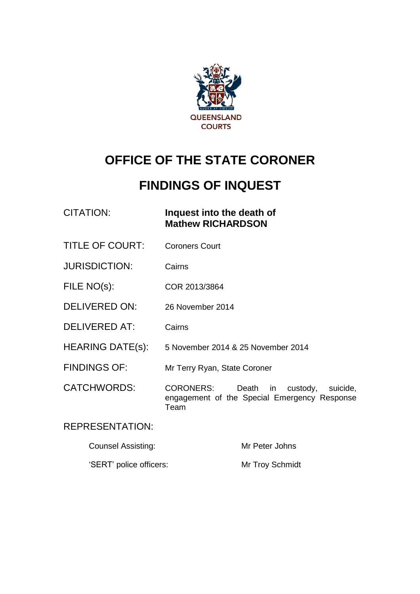

# **OFFICE OF THE STATE CORONER**

# **FINDINGS OF INQUEST**

| CITATION: | Inquest into the death of |
|-----------|---------------------------|
|           | <b>Mathew RICHARDSON</b>  |

- TITLE OF COURT: Coroners Court
- JURISDICTION: Cairns
- FILE NO(s): COR 2013/3864
- DELIVERED ON: 26 November 2014
- DELIVERED AT: Cairns
- HEARING DATE(s): 5 November 2014 & 25 November 2014
- FINDINGS OF: Mr Terry Ryan, State Coroner

CATCHWORDS: CORONERS: Death in custody, suicide, engagement of the Special Emergency Response Team

#### REPRESENTATION:

| Counsel Assisting:      | Mr Peter Johns  |
|-------------------------|-----------------|
| 'SERT' police officers: | Mr Troy Schmidt |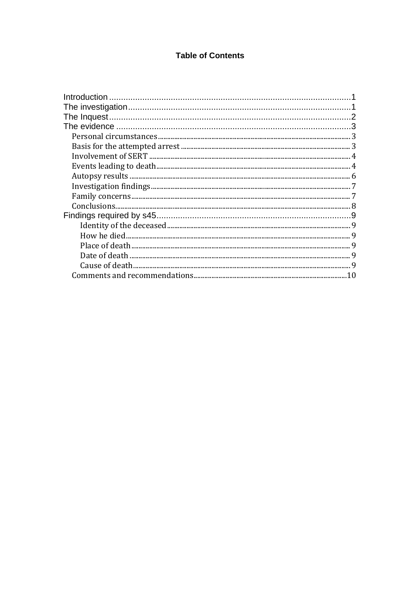#### **Table of Contents**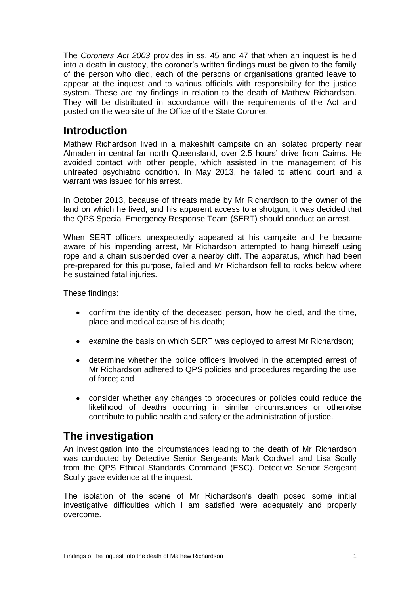The *Coroners Act 2003* provides in ss. 45 and 47 that when an inquest is held into a death in custody, the coroner's written findings must be given to the family of the person who died, each of the persons or organisations granted leave to appear at the inquest and to various officials with responsibility for the justice system. These are my findings in relation to the death of Mathew Richardson. They will be distributed in accordance with the requirements of the Act and posted on the web site of the Office of the State Coroner.

## <span id="page-2-0"></span>**Introduction**

Mathew Richardson lived in a makeshift campsite on an isolated property near Almaden in central far north Queensland, over 2.5 hours' drive from Cairns. He avoided contact with other people, which assisted in the management of his untreated psychiatric condition. In May 2013, he failed to attend court and a warrant was issued for his arrest.

In October 2013, because of threats made by Mr Richardson to the owner of the land on which he lived, and his apparent access to a shotgun, it was decided that the QPS Special Emergency Response Team (SERT) should conduct an arrest.

When SERT officers unexpectedly appeared at his campsite and he became aware of his impending arrest, Mr Richardson attempted to hang himself using rope and a chain suspended over a nearby cliff. The apparatus, which had been pre-prepared for this purpose, failed and Mr Richardson fell to rocks below where he sustained fatal injuries.

These findings:

- confirm the identity of the deceased person, how he died, and the time, place and medical cause of his death;
- examine the basis on which SERT was deployed to arrest Mr Richardson;
- determine whether the police officers involved in the attempted arrest of Mr Richardson adhered to QPS policies and procedures regarding the use of force; and
- consider whether any changes to procedures or policies could reduce the likelihood of deaths occurring in similar circumstances or otherwise contribute to public health and safety or the administration of justice.

# <span id="page-2-1"></span>**The investigation**

An investigation into the circumstances leading to the death of Mr Richardson was conducted by Detective Senior Sergeants Mark Cordwell and Lisa Scully from the QPS Ethical Standards Command (ESC). Detective Senior Sergeant Scully gave evidence at the inquest.

The isolation of the scene of Mr Richardson's death posed some initial investigative difficulties which I am satisfied were adequately and properly overcome.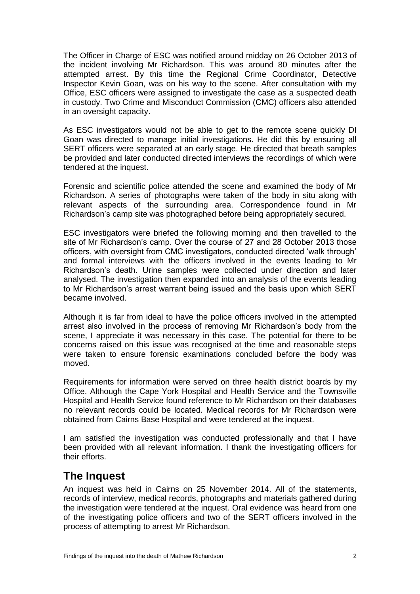The Officer in Charge of ESC was notified around midday on 26 October 2013 of the incident involving Mr Richardson. This was around 80 minutes after the attempted arrest. By this time the Regional Crime Coordinator, Detective Inspector Kevin Goan, was on his way to the scene. After consultation with my Office, ESC officers were assigned to investigate the case as a suspected death in custody. Two Crime and Misconduct Commission (CMC) officers also attended in an oversight capacity.

As ESC investigators would not be able to get to the remote scene quickly DI Goan was directed to manage initial investigations. He did this by ensuring all SERT officers were separated at an early stage. He directed that breath samples be provided and later conducted directed interviews the recordings of which were tendered at the inquest.

Forensic and scientific police attended the scene and examined the body of Mr Richardson. A series of photographs were taken of the body in situ along with relevant aspects of the surrounding area. Correspondence found in Mr Richardson's camp site was photographed before being appropriately secured.

ESC investigators were briefed the following morning and then travelled to the site of Mr Richardson's camp. Over the course of 27 and 28 October 2013 those officers, with oversight from CMC investigators, conducted directed 'walk through' and formal interviews with the officers involved in the events leading to Mr Richardson's death. Urine samples were collected under direction and later analysed. The investigation then expanded into an analysis of the events leading to Mr Richardson's arrest warrant being issued and the basis upon which SERT became involved.

Although it is far from ideal to have the police officers involved in the attempted arrest also involved in the process of removing Mr Richardson's body from the scene, I appreciate it was necessary in this case. The potential for there to be concerns raised on this issue was recognised at the time and reasonable steps were taken to ensure forensic examinations concluded before the body was moved.

Requirements for information were served on three health district boards by my Office. Although the Cape York Hospital and Health Service and the Townsville Hospital and Health Service found reference to Mr Richardson on their databases no relevant records could be located. Medical records for Mr Richardson were obtained from Cairns Base Hospital and were tendered at the inquest.

I am satisfied the investigation was conducted professionally and that I have been provided with all relevant information. I thank the investigating officers for their efforts.

# <span id="page-3-0"></span>**The Inquest**

An inquest was held in Cairns on 25 November 2014. All of the statements, records of interview, medical records, photographs and materials gathered during the investigation were tendered at the inquest. Oral evidence was heard from one of the investigating police officers and two of the SERT officers involved in the process of attempting to arrest Mr Richardson.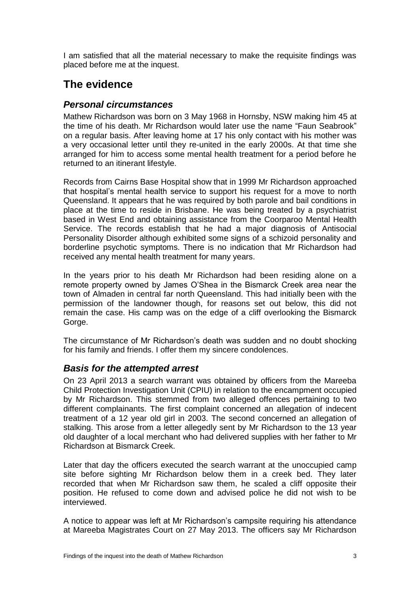I am satisfied that all the material necessary to make the requisite findings was placed before me at the inquest.

# <span id="page-4-0"></span>**The evidence**

## <span id="page-4-1"></span>*Personal circumstances*

Mathew Richardson was born on 3 May 1968 in Hornsby, NSW making him 45 at the time of his death. Mr Richardson would later use the name "Faun Seabrook" on a regular basis. After leaving home at 17 his only contact with his mother was a very occasional letter until they re-united in the early 2000s. At that time she arranged for him to access some mental health treatment for a period before he returned to an itinerant lifestyle.

Records from Cairns Base Hospital show that in 1999 Mr Richardson approached that hospital's mental health service to support his request for a move to north Queensland. It appears that he was required by both parole and bail conditions in place at the time to reside in Brisbane. He was being treated by a psychiatrist based in West End and obtaining assistance from the Coorparoo Mental Health Service. The records establish that he had a major diagnosis of Antisocial Personality Disorder although exhibited some signs of a schizoid personality and borderline psychotic symptoms. There is no indication that Mr Richardson had received any mental health treatment for many years.

In the years prior to his death Mr Richardson had been residing alone on a remote property owned by James O'Shea in the Bismarck Creek area near the town of Almaden in central far north Queensland. This had initially been with the permission of the landowner though, for reasons set out below, this did not remain the case. His camp was on the edge of a cliff overlooking the Bismarck Gorge.

The circumstance of Mr Richardson's death was sudden and no doubt shocking for his family and friends. I offer them my sincere condolences.

## <span id="page-4-2"></span>*Basis for the attempted arrest*

On 23 April 2013 a search warrant was obtained by officers from the Mareeba Child Protection Investigation Unit (CPIU) in relation to the encampment occupied by Mr Richardson. This stemmed from two alleged offences pertaining to two different complainants. The first complaint concerned an allegation of indecent treatment of a 12 year old girl in 2003. The second concerned an allegation of stalking. This arose from a letter allegedly sent by Mr Richardson to the 13 year old daughter of a local merchant who had delivered supplies with her father to Mr Richardson at Bismarck Creek.

Later that day the officers executed the search warrant at the unoccupied camp site before sighting Mr Richardson below them in a creek bed. They later recorded that when Mr Richardson saw them, he scaled a cliff opposite their position. He refused to come down and advised police he did not wish to be interviewed.

A notice to appear was left at Mr Richardson's campsite requiring his attendance at Mareeba Magistrates Court on 27 May 2013. The officers say Mr Richardson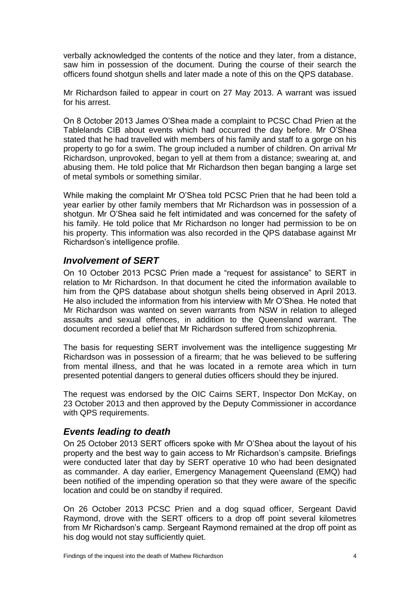verbally acknowledged the contents of the notice and they later, from a distance, saw him in possession of the document. During the course of their search the officers found shotgun shells and later made a note of this on the QPS database.

Mr Richardson failed to appear in court on 27 May 2013. A warrant was issued for his arrest.

On 8 October 2013 James O'Shea made a complaint to PCSC Chad Prien at the Tablelands CIB about events which had occurred the day before. Mr O'Shea stated that he had travelled with members of his family and staff to a gorge on his property to go for a swim. The group included a number of children. On arrival Mr Richardson, unprovoked, began to yell at them from a distance; swearing at, and abusing them. He told police that Mr Richardson then began banging a large set of metal symbols or something similar.

While making the complaint Mr O'Shea told PCSC Prien that he had been told a year earlier by other family members that Mr Richardson was in possession of a shotgun. Mr O'Shea said he felt intimidated and was concerned for the safety of his family. He told police that Mr Richardson no longer had permission to be on his property. This information was also recorded in the QPS database against Mr Richardson's intelligence profile.

## <span id="page-5-0"></span>*Involvement of SERT*

On 10 October 2013 PCSC Prien made a "request for assistance" to SERT in relation to Mr Richardson. In that document he cited the information available to him from the QPS database about shotgun shells being observed in April 2013. He also included the information from his interview with Mr O'Shea. He noted that Mr Richardson was wanted on seven warrants from NSW in relation to alleged assaults and sexual offences, in addition to the Queensland warrant. The document recorded a belief that Mr Richardson suffered from schizophrenia.

The basis for requesting SERT involvement was the intelligence suggesting Mr Richardson was in possession of a firearm; that he was believed to be suffering from mental illness, and that he was located in a remote area which in turn presented potential dangers to general duties officers should they be injured.

The request was endorsed by the OIC Cairns SERT, Inspector Don McKay, on 23 October 2013 and then approved by the Deputy Commissioner in accordance with QPS requirements.

## <span id="page-5-1"></span>*Events leading to death*

On 25 October 2013 SERT officers spoke with Mr O'Shea about the layout of his property and the best way to gain access to Mr Richardson's campsite. Briefings were conducted later that day by SERT operative 10 who had been designated as commander. A day earlier, Emergency Management Queensland (EMQ) had been notified of the impending operation so that they were aware of the specific location and could be on standby if required.

On 26 October 2013 PCSC Prien and a dog squad officer, Sergeant David Raymond, drove with the SERT officers to a drop off point several kilometres from Mr Richardson's camp. Sergeant Raymond remained at the drop off point as his dog would not stay sufficiently quiet.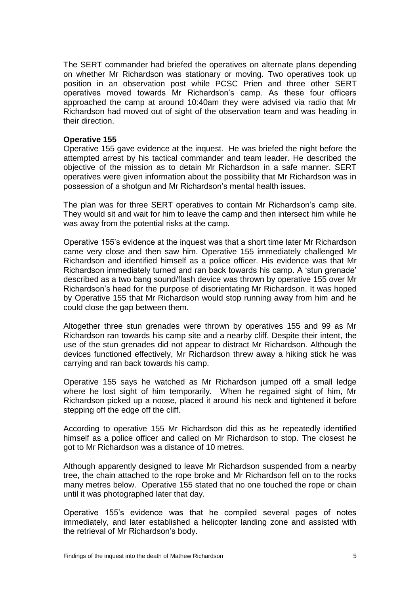The SERT commander had briefed the operatives on alternate plans depending on whether Mr Richardson was stationary or moving. Two operatives took up position in an observation post while PCSC Prien and three other SERT operatives moved towards Mr Richardson's camp. As these four officers approached the camp at around 10:40am they were advised via radio that Mr Richardson had moved out of sight of the observation team and was heading in their direction.

#### **Operative 155**

Operative 155 gave evidence at the inquest. He was briefed the night before the attempted arrest by his tactical commander and team leader. He described the objective of the mission as to detain Mr Richardson in a safe manner. SERT operatives were given information about the possibility that Mr Richardson was in possession of a shotgun and Mr Richardson's mental health issues.

The plan was for three SERT operatives to contain Mr Richardson's camp site. They would sit and wait for him to leave the camp and then intersect him while he was away from the potential risks at the camp.

Operative 155's evidence at the inquest was that a short time later Mr Richardson came very close and then saw him. Operative 155 immediately challenged Mr Richardson and identified himself as a police officer. His evidence was that Mr Richardson immediately turned and ran back towards his camp. A 'stun grenade' described as a two bang sound/flash device was thrown by operative 155 over Mr Richardson's head for the purpose of disorientating Mr Richardson. It was hoped by Operative 155 that Mr Richardson would stop running away from him and he could close the gap between them.

Altogether three stun grenades were thrown by operatives 155 and 99 as Mr Richardson ran towards his camp site and a nearby cliff. Despite their intent, the use of the stun grenades did not appear to distract Mr Richardson. Although the devices functioned effectively, Mr Richardson threw away a hiking stick he was carrying and ran back towards his camp.

Operative 155 says he watched as Mr Richardson jumped off a small ledge where he lost sight of him temporarily. When he regained sight of him, Mr Richardson picked up a noose, placed it around his neck and tightened it before stepping off the edge off the cliff.

According to operative 155 Mr Richardson did this as he repeatedly identified himself as a police officer and called on Mr Richardson to stop. The closest he got to Mr Richardson was a distance of 10 metres.

Although apparently designed to leave Mr Richardson suspended from a nearby tree, the chain attached to the rope broke and Mr Richardson fell on to the rocks many metres below. Operative 155 stated that no one touched the rope or chain until it was photographed later that day.

Operative 155's evidence was that he compiled several pages of notes immediately, and later established a helicopter landing zone and assisted with the retrieval of Mr Richardson's body.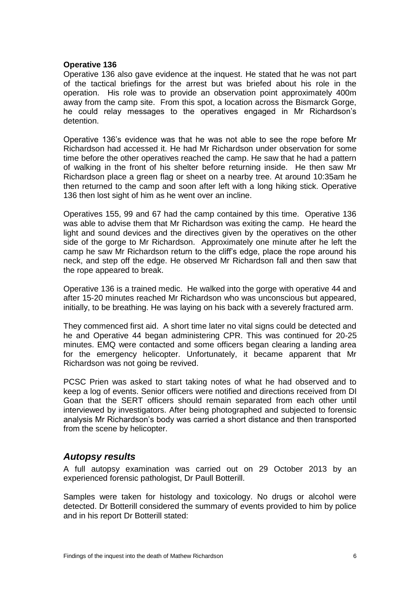#### **Operative 136**

Operative 136 also gave evidence at the inquest. He stated that he was not part of the tactical briefings for the arrest but was briefed about his role in the operation. His role was to provide an observation point approximately 400m away from the camp site. From this spot, a location across the Bismarck Gorge, he could relay messages to the operatives engaged in Mr Richardson's detention.

Operative 136's evidence was that he was not able to see the rope before Mr Richardson had accessed it. He had Mr Richardson under observation for some time before the other operatives reached the camp. He saw that he had a pattern of walking in the front of his shelter before returning inside. He then saw Mr Richardson place a green flag or sheet on a nearby tree. At around 10:35am he then returned to the camp and soon after left with a long hiking stick. Operative 136 then lost sight of him as he went over an incline.

Operatives 155, 99 and 67 had the camp contained by this time. Operative 136 was able to advise them that Mr Richardson was exiting the camp. He heard the light and sound devices and the directives given by the operatives on the other side of the gorge to Mr Richardson. Approximately one minute after he left the camp he saw Mr Richardson return to the cliff's edge, place the rope around his neck, and step off the edge. He observed Mr Richardson fall and then saw that the rope appeared to break.

Operative 136 is a trained medic. He walked into the gorge with operative 44 and after 15-20 minutes reached Mr Richardson who was unconscious but appeared, initially, to be breathing. He was laying on his back with a severely fractured arm.

They commenced first aid. A short time later no vital signs could be detected and he and Operative 44 began administering CPR. This was continued for 20-25 minutes. EMQ were contacted and some officers began clearing a landing area for the emergency helicopter. Unfortunately, it became apparent that Mr Richardson was not going be revived.

PCSC Prien was asked to start taking notes of what he had observed and to keep a log of events. Senior officers were notified and directions received from DI Goan that the SERT officers should remain separated from each other until interviewed by investigators. After being photographed and subjected to forensic analysis Mr Richardson's body was carried a short distance and then transported from the scene by helicopter.

#### <span id="page-7-0"></span>*Autopsy results*

A full autopsy examination was carried out on 29 October 2013 by an experienced forensic pathologist, Dr Paull Botterill.

Samples were taken for histology and toxicology. No drugs or alcohol were detected. Dr Botterill considered the summary of events provided to him by police and in his report Dr Botterill stated: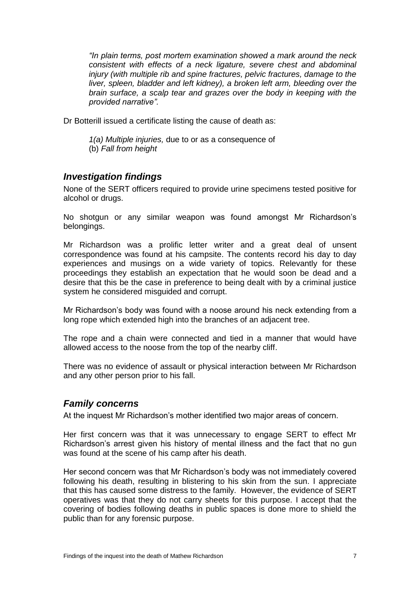*"In plain terms, post mortem examination showed a mark around the neck consistent with effects of a neck ligature, severe chest and abdominal injury (with multiple rib and spine fractures, pelvic fractures, damage to the liver, spleen, bladder and left kidney), a broken left arm, bleeding over the brain surface, a scalp tear and grazes over the body in keeping with the provided narrative".*

Dr Botterill issued a certificate listing the cause of death as:

*1(a) Multiple injuries,* due to or as a consequence of (b) *Fall from height*

#### <span id="page-8-0"></span>*Investigation findings*

None of the SERT officers required to provide urine specimens tested positive for alcohol or drugs.

No shotgun or any similar weapon was found amongst Mr Richardson's belongings.

Mr Richardson was a prolific letter writer and a great deal of unsent correspondence was found at his campsite. The contents record his day to day experiences and musings on a wide variety of topics. Relevantly for these proceedings they establish an expectation that he would soon be dead and a desire that this be the case in preference to being dealt with by a criminal justice system he considered misguided and corrupt.

Mr Richardson's body was found with a noose around his neck extending from a long rope which extended high into the branches of an adjacent tree.

The rope and a chain were connected and tied in a manner that would have allowed access to the noose from the top of the nearby cliff.

There was no evidence of assault or physical interaction between Mr Richardson and any other person prior to his fall.

## <span id="page-8-1"></span>*Family concerns*

At the inquest Mr Richardson's mother identified two major areas of concern.

Her first concern was that it was unnecessary to engage SERT to effect Mr Richardson's arrest given his history of mental illness and the fact that no gun was found at the scene of his camp after his death.

Her second concern was that Mr Richardson's body was not immediately covered following his death, resulting in blistering to his skin from the sun. I appreciate that this has caused some distress to the family. However, the evidence of SERT operatives was that they do not carry sheets for this purpose. I accept that the covering of bodies following deaths in public spaces is done more to shield the public than for any forensic purpose.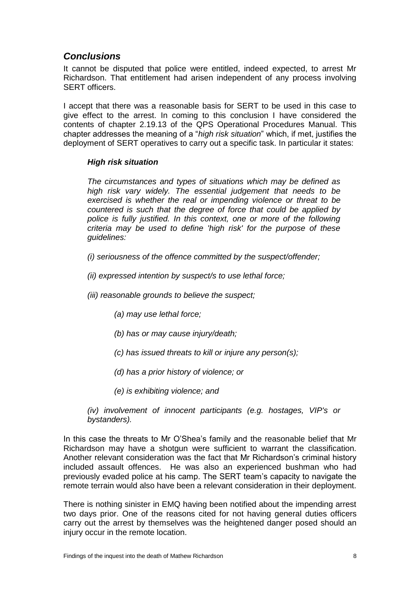## <span id="page-9-0"></span>*Conclusions*

It cannot be disputed that police were entitled, indeed expected, to arrest Mr Richardson. That entitlement had arisen independent of any process involving SERT officers.

I accept that there was a reasonable basis for SERT to be used in this case to give effect to the arrest. In coming to this conclusion I have considered the contents of chapter 2.19.13 of the QPS Operational Procedures Manual. This chapter addresses the meaning of a "*high risk situation*" which, if met, justifies the deployment of SERT operatives to carry out a specific task. In particular it states:

#### *High risk situation*

*The circumstances and types of situations which may be defined as high risk vary widely. The essential judgement that needs to be exercised is whether the real or impending violence or threat to be countered is such that the degree of force that could be applied by police is fully justified. In this context, one or more of the following criteria may be used to define 'high risk' for the purpose of these guidelines:*

*(i) seriousness of the offence committed by the suspect/offender;*

*(ii) expressed intention by suspect/s to use lethal force;*

*(iii) reasonable grounds to believe the suspect;*

- *(a) may use lethal force;*
- *(b) has or may cause injury/death;*
- *(c) has issued threats to kill or injure any person(s);*
- *(d) has a prior history of violence; or*
- *(e) is exhibiting violence; and*
- *(iv) involvement of innocent participants (e.g. hostages, VIP's or bystanders).*

In this case the threats to Mr O'Shea's family and the reasonable belief that Mr Richardson may have a shotgun were sufficient to warrant the classification. Another relevant consideration was the fact that Mr Richardson's criminal history included assault offences. He was also an experienced bushman who had previously evaded police at his camp. The SERT team's capacity to navigate the remote terrain would also have been a relevant consideration in their deployment.

There is nothing sinister in EMQ having been notified about the impending arrest two days prior. One of the reasons cited for not having general duties officers carry out the arrest by themselves was the heightened danger posed should an injury occur in the remote location.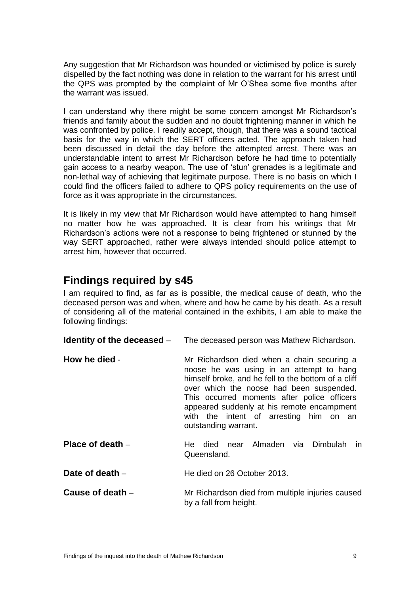Any suggestion that Mr Richardson was hounded or victimised by police is surely dispelled by the fact nothing was done in relation to the warrant for his arrest until the QPS was prompted by the complaint of Mr O'Shea some five months after the warrant was issued.

I can understand why there might be some concern amongst Mr Richardson's friends and family about the sudden and no doubt frightening manner in which he was confronted by police. I readily accept, though, that there was a sound tactical basis for the way in which the SERT officers acted. The approach taken had been discussed in detail the day before the attempted arrest. There was an understandable intent to arrest Mr Richardson before he had time to potentially gain access to a nearby weapon. The use of 'stun' grenades is a legitimate and non-lethal way of achieving that legitimate purpose. There is no basis on which I could find the officers failed to adhere to QPS policy requirements on the use of force as it was appropriate in the circumstances.

It is likely in my view that Mr Richardson would have attempted to hang himself no matter how he was approached. It is clear from his writings that Mr Richardson's actions were not a response to being frightened or stunned by the way SERT approached, rather were always intended should police attempt to arrest him, however that occurred.

# <span id="page-10-0"></span>**Findings required by s45**

I am required to find, as far as is possible, the medical cause of death, who the deceased person was and when, where and how he came by his death. As a result of considering all of the material contained in the exhibits, I am able to make the following findings:

<span id="page-10-5"></span><span id="page-10-4"></span><span id="page-10-3"></span><span id="page-10-2"></span><span id="page-10-1"></span>

|                    | <b>Identity of the deceased</b> – The deceased person was Mathew Richardson.                                                                                                                                                                                                                                                                             |  |
|--------------------|----------------------------------------------------------------------------------------------------------------------------------------------------------------------------------------------------------------------------------------------------------------------------------------------------------------------------------------------------------|--|
| How he died -      | Mr Richardson died when a chain securing a<br>noose he was using in an attempt to hang<br>himself broke, and he fell to the bottom of a cliff<br>over which the noose had been suspended.<br>This occurred moments after police officers<br>appeared suddenly at his remote encampment<br>with the intent of arresting him on an<br>outstanding warrant. |  |
| Place of death $-$ | died near Almaden via Dimbulah<br>in.<br>He<br>Queensland.                                                                                                                                                                                                                                                                                               |  |
| Date of death -    | He died on 26 October 2013.                                                                                                                                                                                                                                                                                                                              |  |
| Cause of death -   | Mr Richardson died from multiple injuries caused<br>by a fall from height.                                                                                                                                                                                                                                                                               |  |